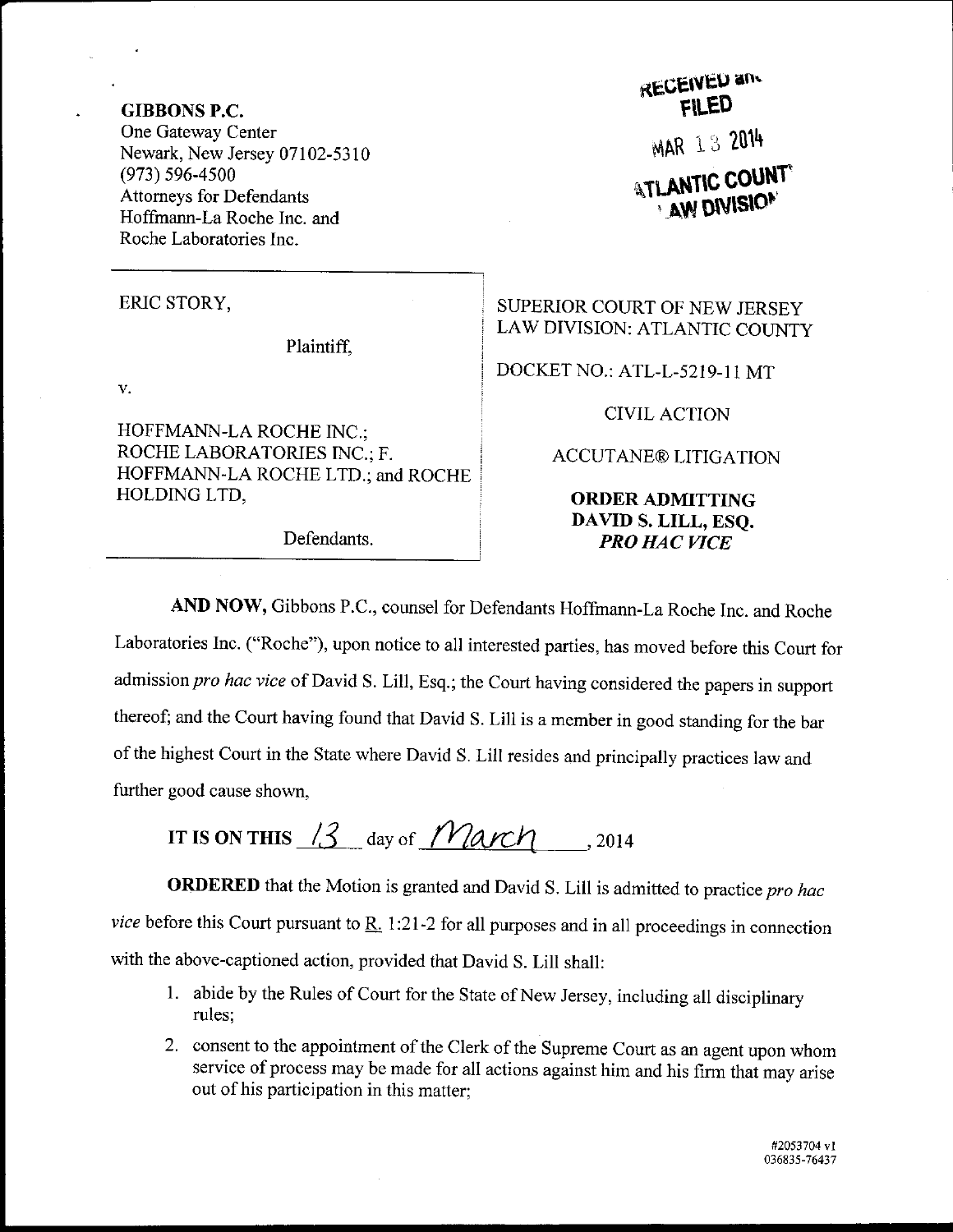GIBBONS P.C. One Gateway Center Newark, New Jersey 07102-5310 (973) 596-4s00 Attomeys for Defendants Hoffmann-La Roche Inc. and Roche Laboratories Inc.

ERIC STORY,

Plaintiff,

 $\mathbf{v}$ .

HOFFMANN-LA ROCHE INC.; ROCHE LABORATORIES INC.; F. HOFFMANN-LA ROCHE LTD.; and ROCHE HOLDING LTD,

RECEIVED and MAR 13 2014 **ATLANTIC COUNT** 

SUPERIOR COURT OF NEW JERSEY LAW DIVISION: ATLANTIC COUNTY

DOCKET NO.: ATL-L-5219-11 MT

CIVIL ACTION

ACCUTANE@ LITIGATION

ORDERADMITTING DAVID S. LILL, ESQ. Defendants. PRO HAC VICE

AND NOW, Gibbons P.C., counsel for Defendants Hoffmann-La Roche Inc. and Roche Laboratories Inc. ("Roche"), upon notice to all interested parties, has moved before this Court for admission pro hac vice of David S. Lill, Esq.; the Court having considered the papers in support thereof; and the court having found that David S. Lill is a member in good standing for the bar of the highest Court in the State where David S. Lill resides and principally practices law and further good cause shown,

IT IS ON THIS  $\frac{13}{3}$  day of *March* , 2014

ORDERED that the Motion is granted and David S. Lill is admitted to practice pro hac vice before this Court pursuant to  $\underline{R}$ . 1:21-2 for all purposes and in all proceedings in connection with the above-captioned action, provided that David S. Lill shall:

- 1. abide by the Rules of court for the state of New Jersey, including all disciplinary rules;
- 2. consent to the appointment of the Clerk of the Supreme Court as an agent upon whom service of process may be made for all actions against him and his firm that may arise out of his participation in this matter: